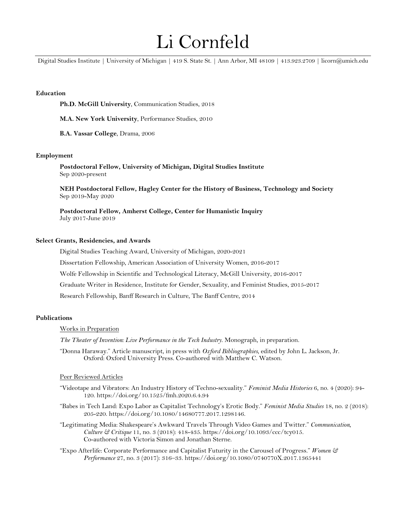# Li Cornfeld

Digital Studies Institute | University of Michigan | 419 S. State St. | Ann Arbor, MI 48109 | 413.923.2709 | licorn@umich.edu

# **Education**

**Ph.D. McGill University**, Communication Studies, 2018

**M.A. New York University**, Performance Studies, 2010

**B.A. Vassar College**, Drama, 2006

## **Employment**

**Postdoctoral Fellow, University of Michigan, Digital Studies Institute** Sep 2020-present

**NEH Postdoctoral Fellow, Hagley Center for the History of Business, Technology and Society** Sep 2019-May 2020

**Postdoctoral Fellow, Amherst College, Center for Humanistic Inquiry** July 2017-June 2019

## **Select Grants, Residencies, and Awards**

Digital Studies Teaching Award, University of Michigan, 2020-2021

Dissertation Fellowship, American Association of University Women, 2016-2017

Wolfe Fellowship in Scientific and Technological Literacy, McGill University, 2016-2017

Graduate Writer in Residence, Institute for Gender, Sexuality, and Feminist Studies, 2015-2017

Research Fellowship, Banff Research in Culture, The Banff Centre, 2014

# **Publications**

#### Works in Preparation

*The Theater of Invention: Live Performance in the Tech Industry*. Monograph, in preparation.

"Donna Haraway." Article manuscript, in press with *Oxford Bibliographies*, edited by John L. Jackson, Jr. Oxford: Oxford University Press. Co-authored with Matthew C. Watson.

#### Peer Reviewed Articles

- "Videotape and Vibrators: An Industry History of Techno-sexuality." *Feminist Media Histories* 6, no. 4 (2020): 94- 120. https://doi.org/10.1525/fmh.2020.6.4.94
- "Babes in Tech Land: Expo Labor as Capitalist Technology's Erotic Body." *Feminist Media Studies* 18, no. 2 (2018): 205-220. https://doi.org/10.1080/14680777.2017.1298146.
- "Legitimating Media: Shakespeare's Awkward Travels Through Video Games and Twitter." *Communication, Culture & Critique* 11, no. 3 (2018): 418-435. https://doi.org/10.1093/ccc/tcy015. Co-authored with Victoria Simon and Jonathan Sterne.
- "Expo Afterlife: Corporate Performance and Capitalist Futurity in the Carousel of Progress." *Women & Performance* 27, no. 3 (2017): 316–33. https://doi.org/10.1080/0740770X.2017.1365441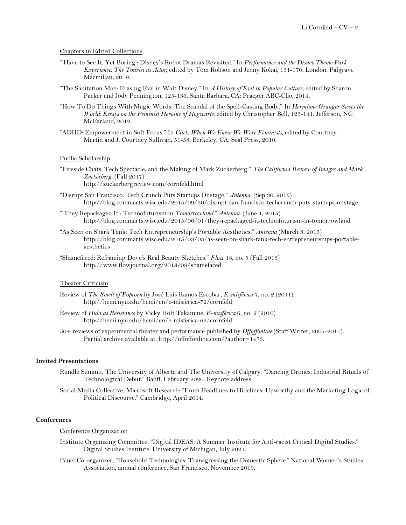## Chapters in Edited Collections

- "'Have to See It, Yet Boring': Disney's Robot Dramas Revisited." In *Performance and the Disney Theme Park Experience: The Tourist as Actor*, edited by Tom Robson and Jenny Kokai, 151-170. London: Palgrave Macmillan, 2019.
- "The Sanitation Man: Erasing Evil in Walt Disney." In *A History of Evil in Popular Culture*, edited by Sharon Packer and Jody Pennington, 125-136. Santa Barbara, CA: Praeger ABC-Clio, 2014.
- "How To Do Things With Magic Words: The Scandal of the Spell-Casting Body." In *Hermione Granger Saves the World: Essays on the Feminist Heroine of Hogwarts*, edited by Christopher Bell, 125-141. Jefferson, NC: McFarland, 2012.
- "ADHD: Empowerment in Soft Focus." In *Click: When We Knew We Were Feminists*, edited by Courtney Martin and J. Courtney Sullivan, 51-58. Berkeley, CA: Seal Press, 2010.

#### Public Scholarship

- "Fireside Chats, Tech Spectacle, and the Making of Mark Zuckerberg." *The California Review of Images and Mark Zuckerberg*. (Fall 2017) http://zuckerbergreview.com/cornfeld.html
- "Disrupt San Francisco: Tech Crunch Puts Startups Onstage." *Antenna*. (Sep 30, 2015) http://blog.commarts.wisc.edu/2015/09/30/disrupt-san-francisco-techcrunch-puts-startups-onstage
- "'They Repackaged It': Technofuturism in *Tomorrowland*." *Antenna*. (June 1, 2015) http://blog.commarts.wisc.edu/2015/06/01/they-repackaged-it-technofuturism-in-tomorrowland
- "As Seen on Shark Tank: Tech Entrepreneurship's Portable Aesthetics." *Antenna* (March 3, 2015) http://blog.commarts.wisc.edu/2015/03/03/as-seen-on-shark-tank-tech-entrepreneurships-portableaesthetics
- "Shamefaced: Reframing Dove's Real Beauty Sketches." *Flow* 18, no. 5 (Fall 2013) http://www.flowjournal.org/2013/08/shamefaced

## Theater Criticism

- Review of *The Smell of Popcorn* by José Luis Ramos Escobar, *E-misférica* 7, no. 2 (2011) http://hemi.nyu.edu/hemi/en/e-misferica-72/cornfeld
- Review of *Hula as Resistance* by Vicky Holt Takamine*, E-misférica* 6, no. 2 (2010) http://hemi.nyu.edu/hemi/en/e-misferica-62/cornfeld
- 50+ reviews of experimental theater and performance published by *Offoffonline* (Staff Writer, 2007-2011). Partial archive available at: http://offoffonline.com/?author=1473.

# **Invited Presentations**

- Rundle Summit, The University of Alberta and The University of Calgary: "Dancing Drones: Industrial Rituals of Technological Debut." Banff, February 2020. Keynote address.
- Social Media Collective, Microsoft Research: "From Headlines to Hidelines: Upworthy and the Marketing Logic of Political Discourse." Cambridge, April 2014.

### **Conferences**

## Conference Organization

- Institute Organizing Committee, "Digital IDEAS: A Summer Institute for Anti-racist Critical Digital Studies." Digital Studies Institute, University of Michigan, July 2021.
- Panel Co-organizer, "Household Technologies: Transgressing the Domestic Sphere." National Women's Studies Association, annual conference, San Francisco, November 2019.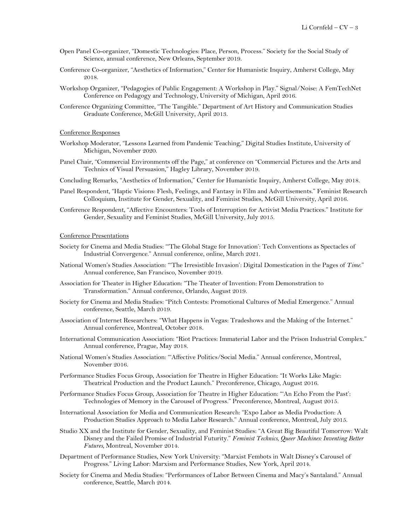- Open Panel Co-organizer, "Domestic Technologies: Place, Person, Process." Society for the Social Study of Science, annual conference, New Orleans, September 2019.
- Conference Co-organizer, "Aesthetics of Information," Center for Humanistic Inquiry, Amherst College, May 2018.
- Workshop Organizer, "Pedagogies of Public Engagement: A Workshop in Play." Signal/Noise: A FemTechNet Conference on Pedagogy and Technology, University of Michigan, April 2016.
- Conference Organizing Committee, "The Tangible." Department of Art History and Communication Studies Graduate Conference, McGill University, April 2013.

### Conference Responses

- Workshop Moderator, "Lessons Learned from Pandemic Teaching," Digital Studies Institute, University of Michigan, November 2020.
- Panel Chair, "Commercial Environments off the Page," at conference on "Commercial Pictures and the Arts and Technics of Visual Persuasion," Hagley Library, November 2019.
- Concluding Remarks, "Aesthetics of Information," Center for Humanistic Inquiry, Amherst College, May 2018.
- Panel Respondent, "Haptic Visions: Flesh, Feelings, and Fantasy in Film and Advertisements." Feminist Research Colloquium, Institute for Gender, Sexuality, and Feminist Studies, McGill University, April 2016.
- Conference Respondent, "Affective Encounters: Tools of Interruption for Activist Media Practices." Institute for Gender, Sexuality and Feminist Studies, McGill University, July 2015.

#### Conference Presentations

- Society for Cinema and Media Studies: "'The Global Stage for Innovation': Tech Conventions as Spectacles of Industrial Convergence." Annual conference, online, March 2021.
- National Women's Studies Association: "'The Irresistible Invasion': Digital Domestication in the Pages of *Time*." Annual conference, San Francisco, November 2019.
- Association for Theater in Higher Education: "The Theater of Invention: From Demonstration to Transformation." Annual conference, Orlando, August 2019.
- Society for Cinema and Media Studies: "Pitch Contests: Promotional Cultures of Medial Emergence." Annual conference, Seattle, March 2019.
- Association of Internet Researchers: "What Happens in Vegas: Tradeshows and the Making of the Internet." Annual conference*,* Montreal, October 2018.
- International Communication Association: "Riot Practices: Immaterial Labor and the Prison Industrial Complex." Annual conference, Prague, May 2018.
- National Women's Studies Association: "'Affective Politics/Social Media." Annual conference, Montreal, November 2016.
- Performance Studies Focus Group, Association for Theatre in Higher Education: "It Works Like Magic: Theatrical Production and the Product Launch." Preconference, Chicago, August 2016.
- Performance Studies Focus Group, Association for Theatre in Higher Education: "'An Echo From the Past': Technologies of Memory in the Carousel of Progress." Preconference, Montreal, August 2015.
- International Association for Media and Communication Research: "Expo Labor as Media Production: A Production Studies Approach to Media Labor Research." Annual conference, Montreal, July 2015.
- Studio XX and the Institute for Gender, Sexuality, and Feminist Studies: "A Great Big Beautiful Tomorrow: Walt Disney and the Failed Promise of Industrial Futurity." *Feminist Technics, Queer Machines: Inventing Better Futures,* Montreal, November 2014.
- Department of Performance Studies, New York University: "Marxist Fembots in Walt Disney's Carousel of Progress." Living Labor: Marxism and Performance Studies, New York, April 2014.
- Society for Cinema and Media Studies: "Performances of Labor Between Cinema and Macy's Santaland." Annual conference, Seattle, March 2014.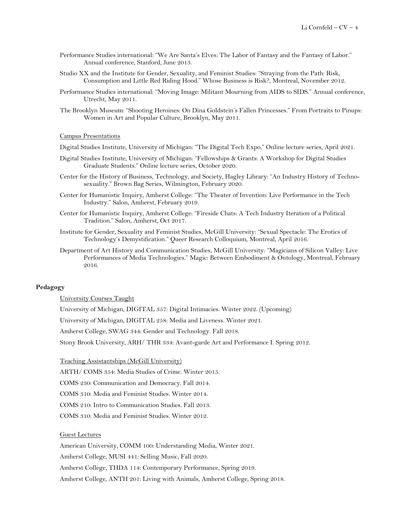- Performance Studies international: "We Are Santa's Elves: The Labor of Fantasy and the Fantasy of Labor." Annual conference, Stanford, June 2013.
- Studio XX and the Institute for Gender, Sexuality, and Feminist Studies: "Straying from the Path: Risk, Consumption and Little Red Riding Hood." Whose Business is Risk?, Montreal, November 2012.
- Performance Studies international: "Moving Image: Militant Mourning from AIDS to SIDS." Annual conference, Utrecht, May 2011.
- The Brooklyn Museum: "Shooting Heroines: On Dina Goldstein's Fallen Princesses." From Portraits to Pinups: Women in Art and Popular Culture, Brooklyn, May 2011.

#### Campus Presentations

Digital Studies Institute, University of Michigan: "The Digital Tech Expo." Online lecture series, April 2021.

- Digital Studies Institute, University of Michigan: "Fellowships & Grants: A Workshop for Digital Studies Graduate Students." Online lecture series, October 2020.
- Center for the History of Business, Technology, and Society, Hagley Library: "An Industry History of Technosexuality." Brown Bag Series, Wilmington, February 2020.
- Center for Humanistic Inquiry, Amherst College: "The Theater of Invention: Live Performance in the Tech Industry." Salon, Amherst, February 2019.
- Center for Humanistic Inquiry, Amherst College: "Fireside Chats: A Tech Industry Iteration of a Political Tradition." Salon, Amherst, Oct 2017.
- Institute for Gender, Sexuality and Feminist Studies, McGill University: "Sexual Spectacle: The Erotics of Technology's Demystification." Queer Research Colloquium, Montreal, April 2016.
- Department of Art History and Communication Studies, McGill University: "Magicians of Silicon Valley: Live Performances of Media Technologies." Magic: Between Embodiment & Ontology, Montreal, February 2016.

# **Pedagogy**

University Courses Taught

University of Michigan, DIGITAL 357: Digital Intimacies. Winter 2022. (Upcoming)

University of Michigan, DIGITAL 258: Media and Liveness. Winter 2021.

Amherst College, SWAG 344: Gender and Technology. Fall 2018.

Stony Brook University, ARH/ THR 334: Avant-garde Art and Performance I. Spring 2012.

Teaching Assistantships (McGill University)

ARTH/ COMS 354: Media Studies of Crime. Winter 2015.

COMS 230: Communication and Democracy. Fall 2014.

COMS 310: Media and Feminist Studies. Winter 2014.

COMS 210: Intro to Communication Studies. Fall 2013.

COMS 310: Media and Feminist Studies. Winter 2012.

## Guest Lectures

American University, COMM 100: Understanding Media, Winter 2021.

Amherst College, MUSI 441: Selling Music, Fall 2020.

Amherst College, THDA 114: Contemporary Performance, Spring 2019.

Amherst College, ANTH 201: Living with Animals, Amherst College, Spring 2018.